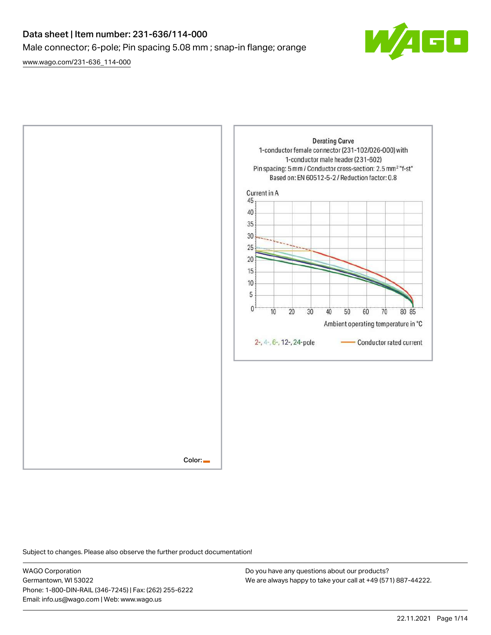# Data sheet | Item number: 231-636/114-000 Male connector; 6-pole; Pin spacing 5.08 mm ; snap-in flange; orange

[www.wago.com/231-636\\_114-000](http://www.wago.com/231-636_114-000)





Subject to changes. Please also observe the further product documentation!

WAGO Corporation Germantown, WI 53022 Phone: 1-800-DIN-RAIL (346-7245) | Fax: (262) 255-6222 Email: info.us@wago.com | Web: www.wago.us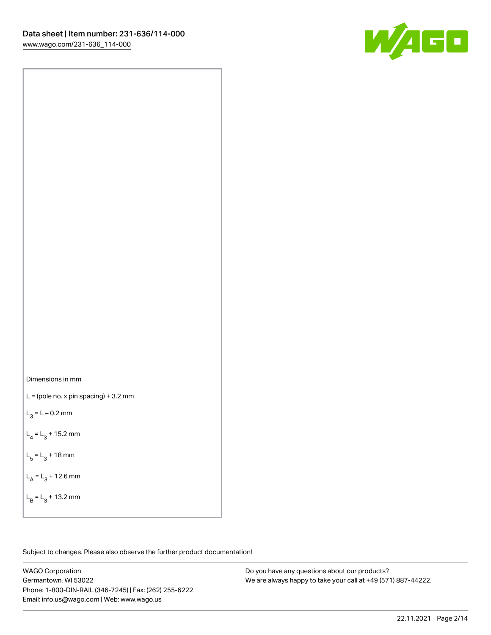

Dimensions in mm

 $L =$  (pole no. x pin spacing) + 3.2 mm

 $L_3 = L - 0.2$  mm

 $L_4 = L_3 + 15.2$  mm

 $L_5 = L_3 + 18$  mm

 $L_A = L_3 + 12.6$  mm

 $L_B = L_3 + 13.2$  mm

Subject to changes. Please also observe the further product documentation!

WAGO Corporation Germantown, WI 53022 Phone: 1-800-DIN-RAIL (346-7245) | Fax: (262) 255-6222 Email: info.us@wago.com | Web: www.wago.us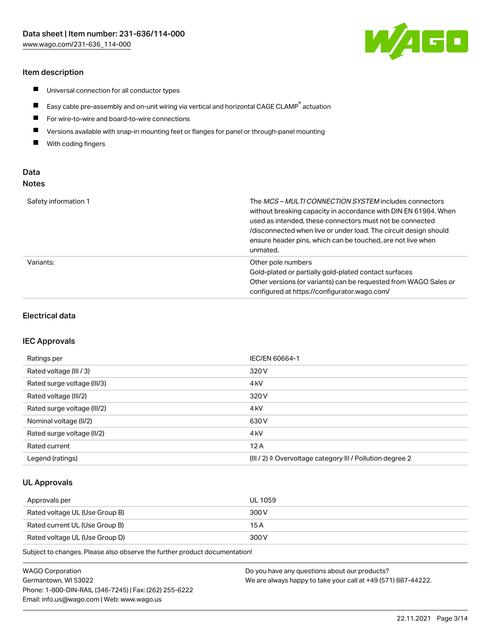## Item description

- $\blacksquare$ Universal connection for all conductor types
- $\blacksquare$ Easy cable pre-assembly and on-unit wiring via vertical and horizontal CAGE CLAMP<sup>®</sup> actuation
- $\blacksquare$ For wire-to-wire and board-to-wire connections
- $\blacksquare$ Versions available with snap-in mounting feet or flanges for panel or through-panel mounting
- $\blacksquare$ With coding fingers

## Data Notes

| Safety information 1 | The <i>MCS – MULTI CONNECTION SYSTEM</i> includes connectors<br>without breaking capacity in accordance with DIN EN 61984. When<br>used as intended, these connectors must not be connected<br>/disconnected when live or under load. The circuit design should<br>ensure header pins, which can be touched, are not live when<br>unmated. |
|----------------------|--------------------------------------------------------------------------------------------------------------------------------------------------------------------------------------------------------------------------------------------------------------------------------------------------------------------------------------------|
| Variants:            | Other pole numbers<br>Gold-plated or partially gold-plated contact surfaces<br>Other versions (or variants) can be requested from WAGO Sales or<br>configured at https://configurator.wago.com/                                                                                                                                            |

## Electrical data

#### IEC Approvals

| Ratings per                 | IEC/EN 60664-1                                                        |
|-----------------------------|-----------------------------------------------------------------------|
| Rated voltage (III / 3)     | 320 V                                                                 |
| Rated surge voltage (III/3) | 4 <sub>k</sub> V                                                      |
| Rated voltage (III/2)       | 320 V                                                                 |
| Rated surge voltage (III/2) | 4 <sub>k</sub> V                                                      |
| Nominal voltage (II/2)      | 630 V                                                                 |
| Rated surge voltage (II/2)  | 4 <sub>kV</sub>                                                       |
| Rated current               | 12A                                                                   |
| Legend (ratings)            | $(III / 2)$ $\triangle$ Overvoltage category III / Pollution degree 2 |

## UL Approvals

| Approvals per                  | UL 1059 |
|--------------------------------|---------|
| Rated voltage UL (Use Group B) | 300 V   |
| Rated current UL (Use Group B) | 15 A    |
| Rated voltage UL (Use Group D) | 300 V   |

Subject to changes. Please also observe the further product documentation!

| <b>WAGO Corporation</b>                                | Do you have any questions about our products?                 |
|--------------------------------------------------------|---------------------------------------------------------------|
| Germantown, WI 53022                                   | We are always happy to take your call at +49 (571) 887-44222. |
| Phone: 1-800-DIN-RAIL (346-7245)   Fax: (262) 255-6222 |                                                               |
| Email: info.us@wago.com   Web: www.wago.us             |                                                               |

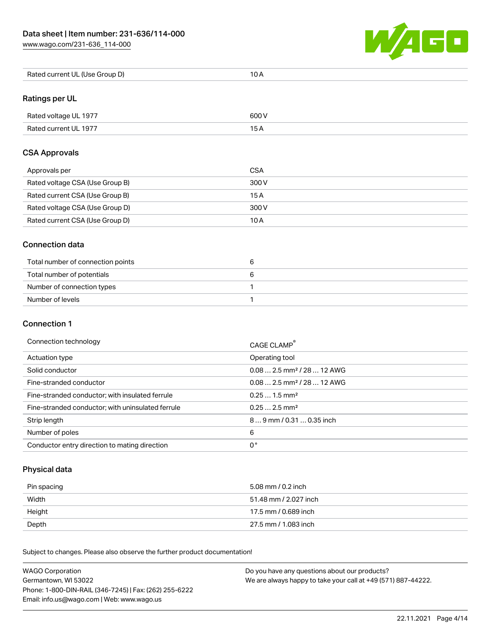[www.wago.com/231-636\\_114-000](http://www.wago.com/231-636_114-000)



| Rated current UL (Use Group D) | 10 A |
|--------------------------------|------|
|--------------------------------|------|

# Ratings per UL

| Rated voltage UL 1977 | 600 V |
|-----------------------|-------|
| Rated current UL 1977 |       |

## CSA Approvals

| Approvals per                   | CSA   |
|---------------------------------|-------|
| Rated voltage CSA (Use Group B) | 300 V |
| Rated current CSA (Use Group B) | 15 A  |
| Rated voltage CSA (Use Group D) | 300 V |
| Rated current CSA (Use Group D) | 10 A  |

## Connection data

| Total number of connection points |  |
|-----------------------------------|--|
| Total number of potentials        |  |
| Number of connection types        |  |
| Number of levels                  |  |

## Connection 1

#### Connection technology CAGE CLAMP®

|                                                   | CAGE CLAMP                             |
|---------------------------------------------------|----------------------------------------|
| Actuation type                                    | Operating tool                         |
| Solid conductor                                   | $0.082.5$ mm <sup>2</sup> / 28  12 AWG |
| Fine-stranded conductor                           | $0.082.5$ mm <sup>2</sup> / 28  12 AWG |
| Fine-stranded conductor; with insulated ferrule   | $0.251.5$ mm <sup>2</sup>              |
| Fine-stranded conductor; with uninsulated ferrule | $0.252.5$ mm <sup>2</sup>              |
| Strip length                                      | $89$ mm / 0.31  0.35 inch              |
| Number of poles                                   | 6                                      |
| Conductor entry direction to mating direction     | 0°                                     |

# Physical data

| Pin spacing | 5.08 mm / 0.2 inch    |
|-------------|-----------------------|
| Width       | 51.48 mm / 2.027 inch |
| Height      | 17.5 mm / 0.689 inch  |
| Depth       | 27.5 mm / 1.083 inch  |

Subject to changes. Please also observe the further product documentation! Mechanical data

| <b>WAGO Corporation</b>                                | Do you have any questions about our products?                 |
|--------------------------------------------------------|---------------------------------------------------------------|
| Germantown, WI 53022                                   | We are always happy to take your call at +49 (571) 887-44222. |
| Phone: 1-800-DIN-RAIL (346-7245)   Fax: (262) 255-6222 |                                                               |
| Email: info.us@wago.com   Web: www.wago.us             |                                                               |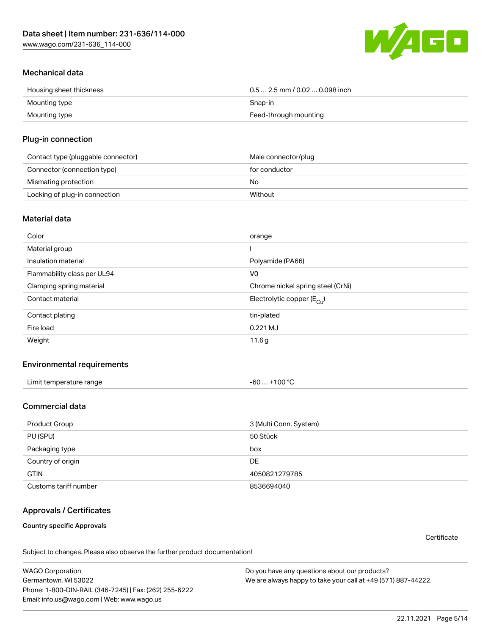W/160

## Mechanical data

| Housing sheet thickness | $0.5$ 2.5 mm / 0.02  0.098 inch |
|-------------------------|---------------------------------|
| Mounting type           | Snap-in                         |
| Mounting type           | Feed-through mounting           |

#### Plug-in connection

| Contact type (pluggable connector) | Male connector/plug |
|------------------------------------|---------------------|
| Connector (connection type)        | for conductor       |
| Mismating protection               | No                  |
| Locking of plug-in connection      | Without             |

#### Material data

| Color                       | orange                                |
|-----------------------------|---------------------------------------|
| Material group              |                                       |
| Insulation material         | Polyamide (PA66)                      |
| Flammability class per UL94 | V <sub>0</sub>                        |
| Clamping spring material    | Chrome nickel spring steel (CrNi)     |
| Contact material            | Electrolytic copper $(E_{\text{Cl}})$ |
| Contact plating             | tin-plated                            |
| Fire load                   | $0.221$ MJ                            |
| Weight                      | 11.6g                                 |

#### Environmental requirements

| Limit temperature range                                                                                         |           |
|-----------------------------------------------------------------------------------------------------------------|-----------|
| -60                                                                                                             | $+100 °C$ |
| the contract of the contract of the contract of the contract of the contract of the contract of the contract of |           |

# Commercial data

| Product Group         | 3 (Multi Conn. System) |
|-----------------------|------------------------|
| PU (SPU)              | 50 Stück               |
| Packaging type        | box                    |
| Country of origin     | DE                     |
| <b>GTIN</b>           | 4050821279785          |
| Customs tariff number | 8536694040             |

## Approvals / Certificates

Country specific Approvals

**Certificate** 

Subject to changes. Please also observe the further product documentation!

WAGO Corporation Germantown, WI 53022 Phone: 1-800-DIN-RAIL (346-7245) | Fax: (262) 255-6222 Email: info.us@wago.com | Web: www.wago.us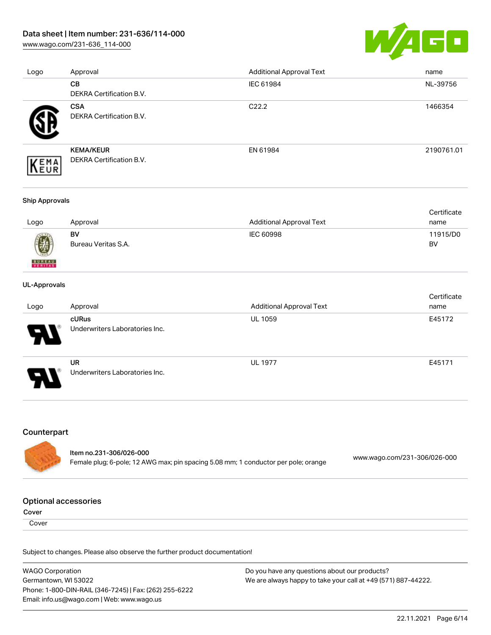## Data sheet | Item number: 231-636/114-000

[www.wago.com/231-636\\_114-000](http://www.wago.com/231-636_114-000)



| Logo | Approval                                      | <b>Additional Approval Text</b> | name       |
|------|-----------------------------------------------|---------------------------------|------------|
|      | <b>CB</b>                                     | IEC 61984                       | NL-39756   |
|      | <b>DEKRA Certification B.V.</b>               |                                 |            |
|      | <b>CSA</b><br><b>DEKRA Certification B.V.</b> | C <sub>22.2</sub>               | 1466354    |
| EMA  | <b>KEMA/KEUR</b><br>DEKRA Certification B.V.  | EN 61984                        | 2190761.01 |

#### Ship Approvals

|      |                     |                                 | Certificate |
|------|---------------------|---------------------------------|-------------|
| Logo | Approval            | <b>Additional Approval Text</b> | name        |
|      | BV                  | IEC 60998                       | 11915/D0    |
| 0    | Bureau Veritas S.A. |                                 | BV          |

#### UL-Approvals

**BUREAU** 

| Logo                       | Approval                                    | <b>Additional Approval Text</b> | Certificate<br>name |
|----------------------------|---------------------------------------------|---------------------------------|---------------------|
| $\boldsymbol{\mathcal{A}}$ | cURus<br>Underwriters Laboratories Inc.     | <b>UL 1059</b>                  | E45172              |
| Э                          | <b>UR</b><br>Underwriters Laboratories Inc. | <b>UL 1977</b>                  | E45171              |

## Counterpart

| ltem no.231-306/026-000                                                            | www.wago.com/231-306/026-000 |
|------------------------------------------------------------------------------------|------------------------------|
| Female plug; 6-pole; 12 AWG max; pin spacing 5.08 mm; 1 conductor per pole; orange |                              |

#### Optional accessories

Cover

**Cover** 

Subject to changes. Please also observe the further product documentation!

WAGO Corporation Germantown, WI 53022 Phone: 1-800-DIN-RAIL (346-7245) | Fax: (262) 255-6222 Email: info.us@wago.com | Web: www.wago.us Do you have any questions about our products? We are always happy to take your call at +49 (571) 887-44222.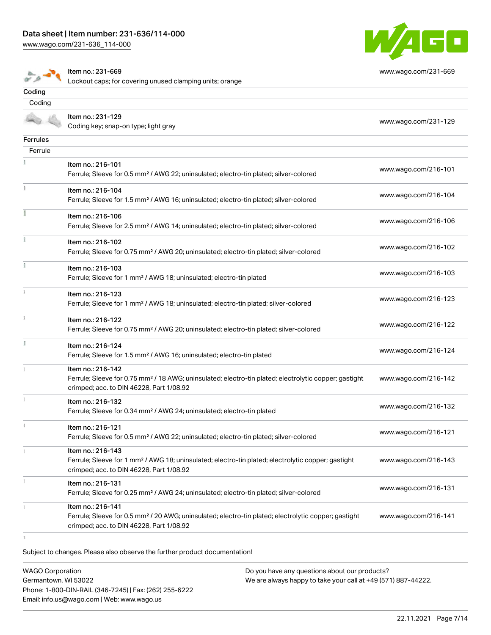Item no.: 231-669

[www.wago.com/231-636\\_114-000](http://www.wago.com/231-636_114-000)

 $\sum_{n=0}^{\infty} \frac{1}{n} \sum_{n=0}^{\infty} \frac{1}{n} \sum_{n=0}^{\infty} \frac{1}{n} \sum_{n=0}^{\infty} \frac{1}{n} \sum_{n=0}^{\infty} \frac{1}{n} \sum_{n=0}^{\infty} \frac{1}{n} \sum_{n=0}^{\infty} \frac{1}{n} \sum_{n=0}^{\infty} \frac{1}{n} \sum_{n=0}^{\infty} \frac{1}{n} \sum_{n=0}^{\infty} \frac{1}{n} \sum_{n=0}^{\infty} \frac{1}{n} \sum_{n=0}^{\infty$ 



[www.wago.com/231-669](http://www.wago.com/231-669)

| Item no.: 231-129<br>Coding key; snap-on type; light gray                                                                                                                          | www.wago.com/231-129 |
|------------------------------------------------------------------------------------------------------------------------------------------------------------------------------------|----------------------|
|                                                                                                                                                                                    |                      |
|                                                                                                                                                                                    |                      |
| Item no.: 216-101<br>Ferrule; Sleeve for 0.5 mm <sup>2</sup> / AWG 22; uninsulated; electro-tin plated; silver-colored                                                             | www.wago.com/216-101 |
| Item no.: 216-104<br>Ferrule; Sleeve for 1.5 mm <sup>2</sup> / AWG 16; uninsulated; electro-tin plated; silver-colored                                                             | www.wago.com/216-104 |
| Item no.: 216-106<br>Ferrule; Sleeve for 2.5 mm <sup>2</sup> / AWG 14; uninsulated; electro-tin plated; silver-colored                                                             | www.wago.com/216-106 |
| Item no.: 216-102<br>Ferrule; Sleeve for 0.75 mm <sup>2</sup> / AWG 20; uninsulated; electro-tin plated; silver-colored                                                            | www.wago.com/216-102 |
| Item no.: 216-103<br>Ferrule; Sleeve for 1 mm <sup>2</sup> / AWG 18; uninsulated; electro-tin plated                                                                               | www.wago.com/216-103 |
| Item no.: 216-123<br>Ferrule; Sleeve for 1 mm <sup>2</sup> / AWG 18; uninsulated; electro-tin plated; silver-colored                                                               | www.wago.com/216-123 |
| Item no.: 216-122<br>Ferrule; Sleeve for 0.75 mm <sup>2</sup> / AWG 20; uninsulated; electro-tin plated; silver-colored                                                            | www.wago.com/216-122 |
| Item no.: 216-124<br>Ferrule; Sleeve for 1.5 mm <sup>2</sup> / AWG 16; uninsulated; electro-tin plated                                                                             | www.wago.com/216-124 |
| Item no.: 216-142<br>Ferrule; Sleeve for 0.75 mm <sup>2</sup> / 18 AWG; uninsulated; electro-tin plated; electrolytic copper; gastight<br>crimped; acc. to DIN 46228, Part 1/08.92 | www.wago.com/216-142 |
| Item no.: 216-132<br>Ferrule; Sleeve for 0.34 mm <sup>2</sup> / AWG 24; uninsulated; electro-tin plated                                                                            | www.wago.com/216-132 |
| Item no.: 216-121<br>Ferrule; Sleeve for 0.5 mm <sup>2</sup> / AWG 22; uninsulated; electro-tin plated; silver-colored                                                             | www.wago.com/216-121 |
| Item no.: 216-143<br>Ferrule; Sleeve for 1 mm <sup>2</sup> / AWG 18; uninsulated; electro-tin plated; electrolytic copper; gastight<br>crimped; acc. to DIN 46228, Part 1/08.92    | www.wago.com/216-143 |
| Item no.: 216-131<br>Ferrule; Sleeve for 0.25 mm <sup>2</sup> / AWG 24; uninsulated; electro-tin plated; silver-colored                                                            | www.wago.com/216-131 |
| Item no.: 216-141<br>Ferrule; Sleeve for 0.5 mm <sup>2</sup> / 20 AWG; uninsulated; electro-tin plated; electrolytic copper; gastight<br>crimped; acc. to DIN 46228, Part 1/08.92  | www.wago.com/216-141 |
|                                                                                                                                                                                    |                      |

Subject to changes. Please also observe the further product documentation!

WAGO Corporation Germantown, WI 53022 Phone: 1-800-DIN-RAIL (346-7245) | Fax: (262) 255-6222 Email: info.us@wago.com | Web: www.wago.us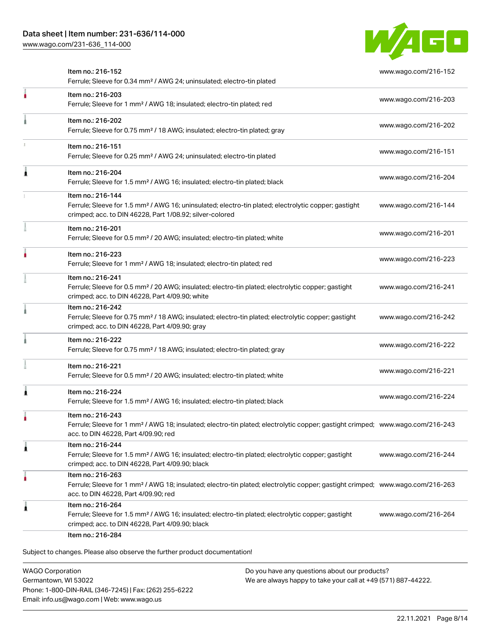[www.wago.com/231-636\\_114-000](http://www.wago.com/231-636_114-000)



|   | Item no.: 216-152<br>Ferrule; Sleeve for 0.34 mm <sup>2</sup> / AWG 24; uninsulated; electro-tin plated                                                                                                 | www.wago.com/216-152 |
|---|---------------------------------------------------------------------------------------------------------------------------------------------------------------------------------------------------------|----------------------|
| ł | Item no.: 216-203<br>Ferrule; Sleeve for 1 mm <sup>2</sup> / AWG 18; insulated; electro-tin plated; red                                                                                                 | www.wago.com/216-203 |
|   | Item no.: 216-202<br>Ferrule; Sleeve for 0.75 mm <sup>2</sup> / 18 AWG; insulated; electro-tin plated; gray                                                                                             | www.wago.com/216-202 |
|   | Item no.: 216-151<br>Ferrule; Sleeve for 0.25 mm <sup>2</sup> / AWG 24; uninsulated; electro-tin plated                                                                                                 | www.wago.com/216-151 |
|   | Item no.: 216-204<br>Ferrule; Sleeve for 1.5 mm <sup>2</sup> / AWG 16; insulated; electro-tin plated; black                                                                                             | www.wago.com/216-204 |
|   | Item no.: 216-144<br>Ferrule; Sleeve for 1.5 mm <sup>2</sup> / AWG 16; uninsulated; electro-tin plated; electrolytic copper; gastight<br>crimped; acc. to DIN 46228, Part 1/08.92; silver-colored       | www.wago.com/216-144 |
|   | Item no.: 216-201<br>Ferrule; Sleeve for 0.5 mm <sup>2</sup> / 20 AWG; insulated; electro-tin plated; white                                                                                             | www.wago.com/216-201 |
|   | Item no.: 216-223<br>Ferrule; Sleeve for 1 mm <sup>2</sup> / AWG 18; insulated; electro-tin plated; red                                                                                                 | www.wago.com/216-223 |
|   | Item no.: 216-241<br>Ferrule; Sleeve for 0.5 mm <sup>2</sup> / 20 AWG; insulated; electro-tin plated; electrolytic copper; gastight<br>crimped; acc. to DIN 46228, Part 4/09.90; white                  | www.wago.com/216-241 |
|   | Item no.: 216-242<br>Ferrule; Sleeve for 0.75 mm <sup>2</sup> / 18 AWG; insulated; electro-tin plated; electrolytic copper; gastight<br>crimped; acc. to DIN 46228, Part 4/09.90; gray                  | www.wago.com/216-242 |
|   | Item no.: 216-222<br>Ferrule; Sleeve for 0.75 mm <sup>2</sup> / 18 AWG; insulated; electro-tin plated; gray                                                                                             | www.wago.com/216-222 |
|   | Item no.: 216-221<br>Ferrule; Sleeve for 0.5 mm <sup>2</sup> / 20 AWG; insulated; electro-tin plated; white                                                                                             | www.wago.com/216-221 |
|   | Item no.: 216-224<br>Ferrule; Sleeve for 1.5 mm <sup>2</sup> / AWG 16; insulated; electro-tin plated; black                                                                                             | www.wago.com/216-224 |
|   | Item no.: 216-243<br>Ferrule; Sleeve for 1 mm <sup>2</sup> / AWG 18; insulated; electro-tin plated; electrolytic copper; gastight crimped; www.wago.com/216-243<br>acc. to DIN 46228, Part 4/09.90; red |                      |
| л | Item no.: 216-244<br>Ferrule; Sleeve for 1.5 mm <sup>2</sup> / AWG 16; insulated; electro-tin plated; electrolytic copper; gastight<br>crimped; acc. to DIN 46228, Part 4/09.90; black                  | www.wago.com/216-244 |
|   | Item no.: 216-263<br>Ferrule; Sleeve for 1 mm <sup>2</sup> / AWG 18; insulated; electro-tin plated; electrolytic copper; gastight crimped; www.wago.com/216-263<br>acc. to DIN 46228, Part 4/09.90; red |                      |
|   | Item no.: 216-264<br>Ferrule; Sleeve for 1.5 mm <sup>2</sup> / AWG 16; insulated; electro-tin plated; electrolytic copper; gastight<br>crimped; acc. to DIN 46228, Part 4/09.90; black                  | www.wago.com/216-264 |

WAGO Corporation Germantown, WI 53022 Phone: 1-800-DIN-RAIL (346-7245) | Fax: (262) 255-6222 Email: info.us@wago.com | Web: www.wago.us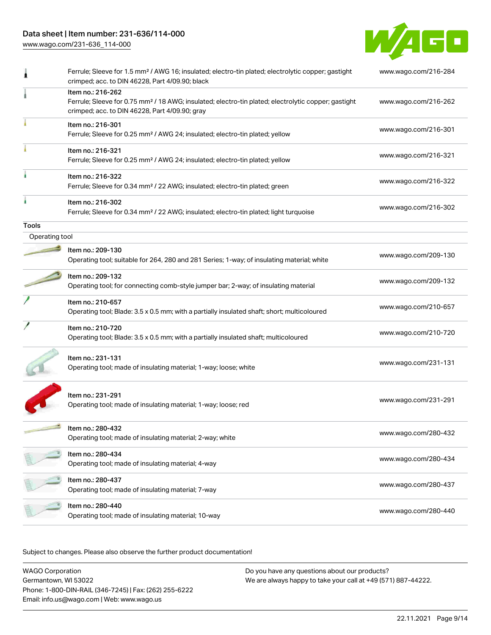# Data sheet | Item number: 231-636/114-000

[www.wago.com/231-636\\_114-000](http://www.wago.com/231-636_114-000)



|                | Ferrule; Sleeve for 1.5 mm <sup>2</sup> / AWG 16; insulated; electro-tin plated; electrolytic copper; gastight<br>crimped; acc. to DIN 46228, Part 4/09.90; black                      | www.wago.com/216-284 |
|----------------|----------------------------------------------------------------------------------------------------------------------------------------------------------------------------------------|----------------------|
|                | Item no.: 216-262<br>Ferrule; Sleeve for 0.75 mm <sup>2</sup> / 18 AWG; insulated; electro-tin plated; electrolytic copper; gastight<br>crimped; acc. to DIN 46228, Part 4/09.90; gray | www.wago.com/216-262 |
|                | Item no.: 216-301<br>Ferrule; Sleeve for 0.25 mm <sup>2</sup> / AWG 24; insulated; electro-tin plated; yellow                                                                          | www.wago.com/216-301 |
|                | Item no.: 216-321<br>Ferrule; Sleeve for 0.25 mm <sup>2</sup> / AWG 24; insulated; electro-tin plated; yellow                                                                          | www.wago.com/216-321 |
|                | Item no.: 216-322<br>Ferrule; Sleeve for 0.34 mm <sup>2</sup> / 22 AWG; insulated; electro-tin plated; green                                                                           | www.wago.com/216-322 |
|                | Item no.: 216-302<br>Ferrule; Sleeve for 0.34 mm <sup>2</sup> / 22 AWG; insulated; electro-tin plated; light turquoise                                                                 | www.wago.com/216-302 |
| <b>Tools</b>   |                                                                                                                                                                                        |                      |
| Operating tool |                                                                                                                                                                                        |                      |
|                | Item no.: 209-130<br>Operating tool; suitable for 264, 280 and 281 Series; 1-way; of insulating material; white                                                                        | www.wago.com/209-130 |
|                | Item no.: 209-132<br>Operating tool; for connecting comb-style jumper bar; 2-way; of insulating material                                                                               | www.wago.com/209-132 |
|                | Item no.: 210-657<br>Operating tool; Blade: 3.5 x 0.5 mm; with a partially insulated shaft; short; multicoloured                                                                       | www.wago.com/210-657 |
|                | Item no.: 210-720<br>Operating tool; Blade: 3.5 x 0.5 mm; with a partially insulated shaft; multicoloured                                                                              | www.wago.com/210-720 |
|                | Item no.: 231-131<br>Operating tool; made of insulating material; 1-way; loose; white                                                                                                  | www.wago.com/231-131 |
|                | Item no.: 231-291<br>Operating tool; made of insulating material; 1-way; loose; red                                                                                                    | www.wago.com/231-291 |
|                | Item no.: 280-432<br>Operating tool; made of insulating material; 2-way; white                                                                                                         | www.wago.com/280-432 |
|                | ltem no.: 280-434<br>Operating tool; made of insulating material; 4-way                                                                                                                | www.wago.com/280-434 |
|                | Item no.: 280-437<br>Operating tool; made of insulating material; 7-way                                                                                                                | www.wago.com/280-437 |
|                | Item no.: 280-440<br>Operating tool; made of insulating material; 10-way                                                                                                               | www.wago.com/280-440 |
|                |                                                                                                                                                                                        |                      |

Subject to changes. Please also observe the further product documentation!

WAGO Corporation Germantown, WI 53022 Phone: 1-800-DIN-RAIL (346-7245) | Fax: (262) 255-6222 Email: info.us@wago.com | Web: www.wago.us Do you have any questions about our products? We are always happy to take your call at +49 (571) 887-44222.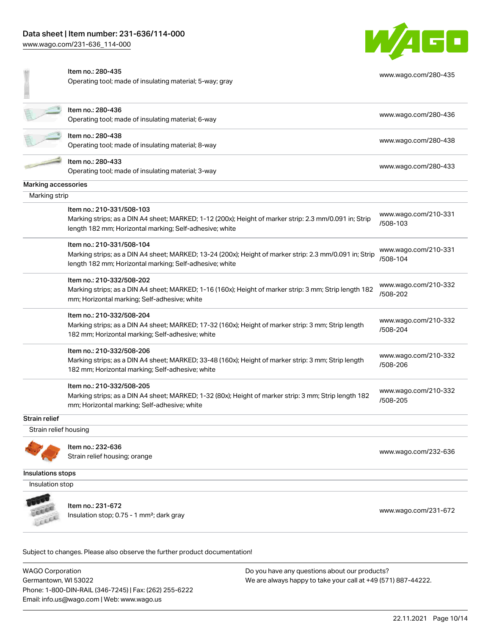[www.wago.com/231-636\\_114-000](http://www.wago.com/231-636_114-000)



[www.wago.com/280-435](http://www.wago.com/280-435)

|  |  | Item no.: 280-435 |
|--|--|-------------------|
|  |  |                   |

Operating tool; made of insulating material; 5-way; gray

|                       | Item no.: 280-436                                                                                       | www.wago.com/280-436             |
|-----------------------|---------------------------------------------------------------------------------------------------------|----------------------------------|
|                       | Operating tool; made of insulating material; 6-way                                                      |                                  |
|                       | Item no.: 280-438                                                                                       |                                  |
|                       | Operating tool; made of insulating material; 8-way                                                      | www.wago.com/280-438             |
|                       | Item no.: 280-433                                                                                       | www.wago.com/280-433             |
|                       | Operating tool; made of insulating material; 3-way                                                      |                                  |
| Marking accessories   |                                                                                                         |                                  |
| Marking strip         |                                                                                                         |                                  |
|                       | Item no.: 210-331/508-103                                                                               |                                  |
|                       | Marking strips; as a DIN A4 sheet; MARKED; 1-12 (200x); Height of marker strip: 2.3 mm/0.091 in; Strip  | www.wago.com/210-331<br>/508-103 |
|                       | length 182 mm; Horizontal marking; Self-adhesive; white                                                 |                                  |
|                       | Item no.: 210-331/508-104                                                                               |                                  |
|                       | Marking strips; as a DIN A4 sheet; MARKED; 13-24 (200x); Height of marker strip: 2.3 mm/0.091 in; Strip | www.wago.com/210-331<br>/508-104 |
|                       | length 182 mm; Horizontal marking; Self-adhesive; white                                                 |                                  |
|                       | Item no.: 210-332/508-202                                                                               |                                  |
|                       | Marking strips; as a DIN A4 sheet; MARKED; 1-16 (160x); Height of marker strip: 3 mm; Strip length 182  | www.wago.com/210-332<br>/508-202 |
|                       | mm; Horizontal marking; Self-adhesive; white                                                            |                                  |
|                       | Item no.: 210-332/508-204                                                                               |                                  |
|                       | Marking strips; as a DIN A4 sheet; MARKED; 17-32 (160x); Height of marker strip: 3 mm; Strip length     | www.wago.com/210-332<br>/508-204 |
|                       | 182 mm; Horizontal marking; Self-adhesive; white                                                        |                                  |
|                       | Item no.: 210-332/508-206                                                                               |                                  |
|                       | Marking strips; as a DIN A4 sheet; MARKED; 33-48 (160x); Height of marker strip: 3 mm; Strip length     | www.wago.com/210-332<br>/508-206 |
|                       | 182 mm; Horizontal marking; Self-adhesive; white                                                        |                                  |
|                       | Item no.: 210-332/508-205                                                                               | www.wago.com/210-332             |
|                       | Marking strips; as a DIN A4 sheet; MARKED; 1-32 (80x); Height of marker strip: 3 mm; Strip length 182   | /508-205                         |
|                       | mm; Horizontal marking; Self-adhesive; white                                                            |                                  |
| Strain relief         |                                                                                                         |                                  |
| Strain relief housing |                                                                                                         |                                  |
|                       | Item no.: 232-636                                                                                       |                                  |
|                       | Strain relief housing; orange                                                                           | www.wago.com/232-636             |
| Insulations stops     |                                                                                                         |                                  |
| Insulation stop       |                                                                                                         |                                  |
|                       |                                                                                                         |                                  |

Insulation stop; 0.75 - 1 mm<sup>2</sup>; dark gray [www.wago.com/231-672](http://www.wago.com/231-672) www.wago.com/231-672

Subject to changes. Please also observe the further product documentation!

WAGO Corporation Germantown, WI 53022 Phone: 1-800-DIN-RAIL (346-7245) | Fax: (262) 255-6222 Email: info.us@wago.com | Web: www.wago.us

Item no.: 231-672

CELER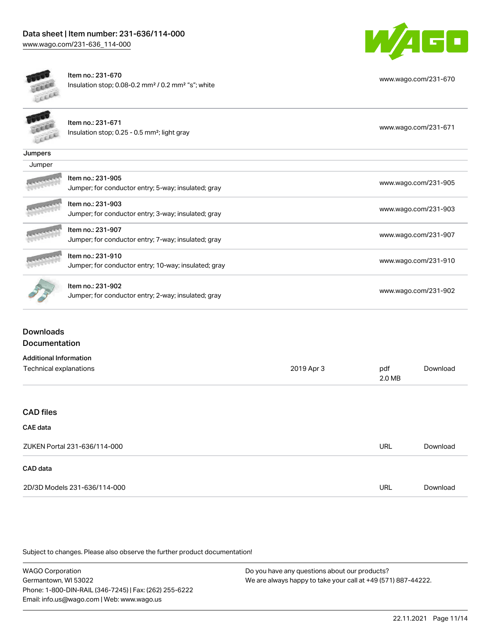

[www.wago.com/231-670](http://www.wago.com/231-670)



Item no.: 231-670 Insulation stop; 0.08-0.2 mm² / 0.2 mm² "s"; white

|         | Item no.: 231-671<br>Insulation stop; 0.25 - 0.5 mm <sup>2</sup> ; light gray | www.wago.com/231-671 |
|---------|-------------------------------------------------------------------------------|----------------------|
| Jumpers |                                                                               |                      |
| Jumper  |                                                                               |                      |
|         | Item no.: 231-905<br>Jumper; for conductor entry; 5-way; insulated; gray      | www.wago.com/231-905 |
|         | Item no.: 231-903<br>Jumper; for conductor entry; 3-way; insulated; gray      | www.wago.com/231-903 |
|         | Item no.: 231-907<br>Jumper; for conductor entry; 7-way; insulated; gray      | www.wago.com/231-907 |
|         | Item no.: 231-910<br>Jumper; for conductor entry; 10-way; insulated; gray     | www.wago.com/231-910 |
|         | Item no.: 231-902<br>Jumper; for conductor entry; 2-way; insulated; gray      | www.wago.com/231-902 |

## Downloads Documentation

| <b>Additional Information</b> |            |               |          |
|-------------------------------|------------|---------------|----------|
| Technical explanations        | 2019 Apr 3 | pdf<br>2.0 MB | Download |
|                               |            |               |          |
| <b>CAD files</b>              |            |               |          |
| CAE data                      |            |               |          |
| ZUKEN Portal 231-636/114-000  |            | <b>URL</b>    | Download |
| CAD data                      |            |               |          |
| 2D/3D Models 231-636/114-000  |            | <b>URL</b>    | Download |

Subject to changes. Please also observe the further product documentation!

| <b>WAGO Corporation</b>                                | Do you have any questions about our products?                 |
|--------------------------------------------------------|---------------------------------------------------------------|
| Germantown. WI 53022                                   | We are always happy to take your call at +49 (571) 887-44222. |
| Phone: 1-800-DIN-RAIL (346-7245)   Fax: (262) 255-6222 |                                                               |
| Email: info.us@wago.com   Web: www.wago.us             |                                                               |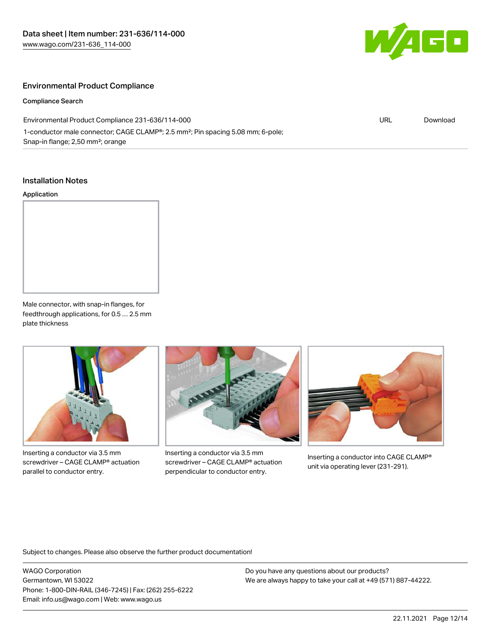

## Environmental Product Compliance

#### Compliance Search

| Environmental Product Compliance 231-636/114-000<br>URL                                                  |  | Download |
|----------------------------------------------------------------------------------------------------------|--|----------|
| 1-conductor male connector; CAGE CLAMP <sup>®</sup> ; 2.5 mm <sup>2</sup> ; Pin spacing 5.08 mm; 6-pole; |  |          |
| Snap-in flange; 2,50 mm <sup>2</sup> ; orange                                                            |  |          |

### Installation Notes

#### Application



Male connector, with snap-in flanges, for feedthrough applications, for 0.5 … 2.5 mm plate thickness



Inserting a conductor via 3.5 mm screwdriver – CAGE CLAMP® actuation parallel to conductor entry.



Inserting a conductor via 3.5 mm screwdriver – CAGE CLAMP® actuation perpendicular to conductor entry.



Inserting a conductor into CAGE CLAMP® unit via operating lever (231-291).

Subject to changes. Please also observe the further product documentation!

WAGO Corporation Germantown, WI 53022 Phone: 1-800-DIN-RAIL (346-7245) | Fax: (262) 255-6222 Email: info.us@wago.com | Web: www.wago.us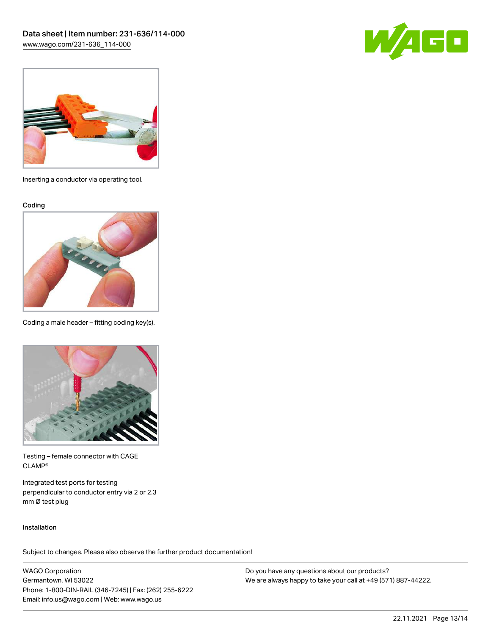



Inserting a conductor via operating tool.

Coding



Coding a male header – fitting coding key(s).



Testing – female connector with CAGE CLAMP®

Integrated test ports for testing perpendicular to conductor entry via 2 or 2.3 mm Ø test plug

#### Installation

Subject to changes. Please also observe the further product documentation!

WAGO Corporation Germantown, WI 53022 Phone: 1-800-DIN-RAIL (346-7245) | Fax: (262) 255-6222 Email: info.us@wago.com | Web: www.wago.us